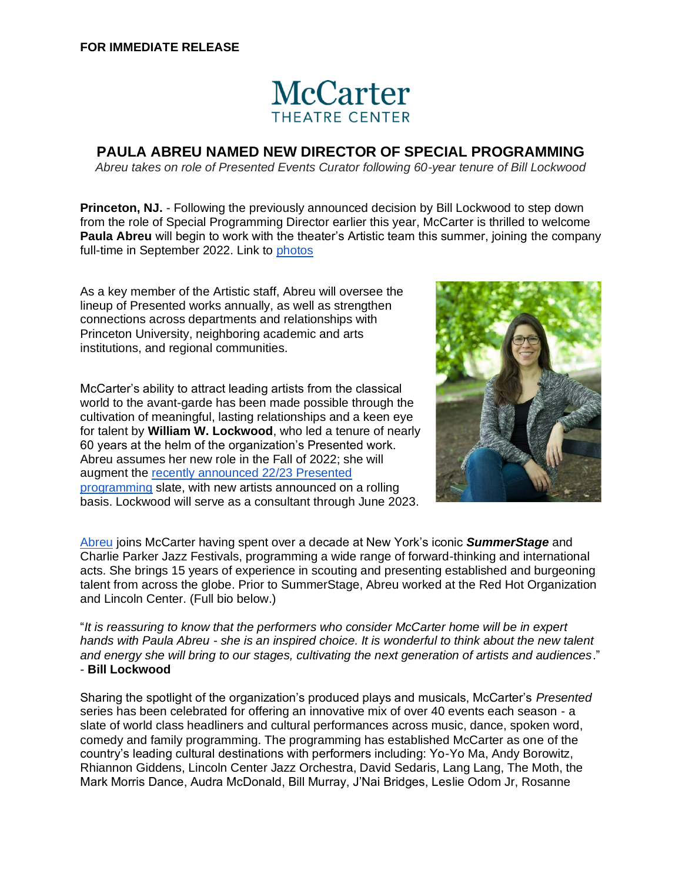## **McCarter THEATRE CENTER**

## **PAULA ABREU NAMED NEW DIRECTOR OF SPECIAL PROGRAMMING**

*Abreu takes on role of Presented Events Curator following 60-year tenure of Bill Lockwood*

**Princeton, NJ.** - Following the previously announced decision by Bill Lockwood to step down from the role of Special Programming Director earlier this year, McCarter is thrilled to welcome **Paula Abreu** will begin to work with the theater's Artistic team this summer, joining the company full-time in September 2022. Link to [photos](https://drive.google.com/drive/u/0/folders/15HR8NvFrPdT2yeL1Ln7S_suAxA1acZTt)

As a key member of the Artistic staff, Abreu will oversee the lineup of Presented works annually, as well as strengthen connections across departments and relationships with Princeton University, neighboring academic and arts institutions, and regional communities.

McCarter's ability to attract leading artists from the classical world to the avant-garde has been made possible through the cultivation of meaningful, lasting relationships and a keen eye for talent by **William W. Lockwood**, who led a tenure of nearly 60 years at the helm of the organization's Presented work. Abreu assumes her new role in the Fall of 2022; she will augment the [recently announced 22/23 Presented](https://drive.google.com/drive/u/0/folders/1Qz_y1uk1w4ehVOJvLAr5qTM17j2fKMZG)  [programming](https://drive.google.com/drive/u/0/folders/1Qz_y1uk1w4ehVOJvLAr5qTM17j2fKMZG) slate, with new artists announced on a rolling basis. Lockwood will serve as a consultant through June 2023.



[Abreu](https://www.paulaabreunyc.com/) joins McCarter having spent over a decade at New York's iconic *SummerStage* and Charlie Parker Jazz Festivals, programming a wide range of forward-thinking and international acts. She brings 15 years of experience in scouting and presenting established and burgeoning talent from across the globe. Prior to SummerStage, Abreu worked at the Red Hot Organization and Lincoln Center. (Full bio below.)

"*It is reassuring to know that the performers who consider McCarter home will be in expert hands with Paula Abreu - she is an inspired choice. It is wonderful to think about the new talent and energy she will bring to our stages, cultivating the next generation of artists and audiences*." - **Bill Lockwood**

Sharing the spotlight of the organization's produced plays and musicals, McCarter's *Presented*  series has been celebrated for offering an innovative mix of over 40 events each season - a slate of world class headliners and cultural performances across music, dance, spoken word, comedy and family programming. The programming has established McCarter as one of the country's leading cultural destinations with performers including: Yo-Yo Ma, Andy Borowitz, Rhiannon Giddens, Lincoln Center Jazz Orchestra, David Sedaris, Lang Lang, The Moth, the Mark Morris Dance, Audra McDonald, Bill Murray, J'Nai Bridges, Leslie Odom Jr, Rosanne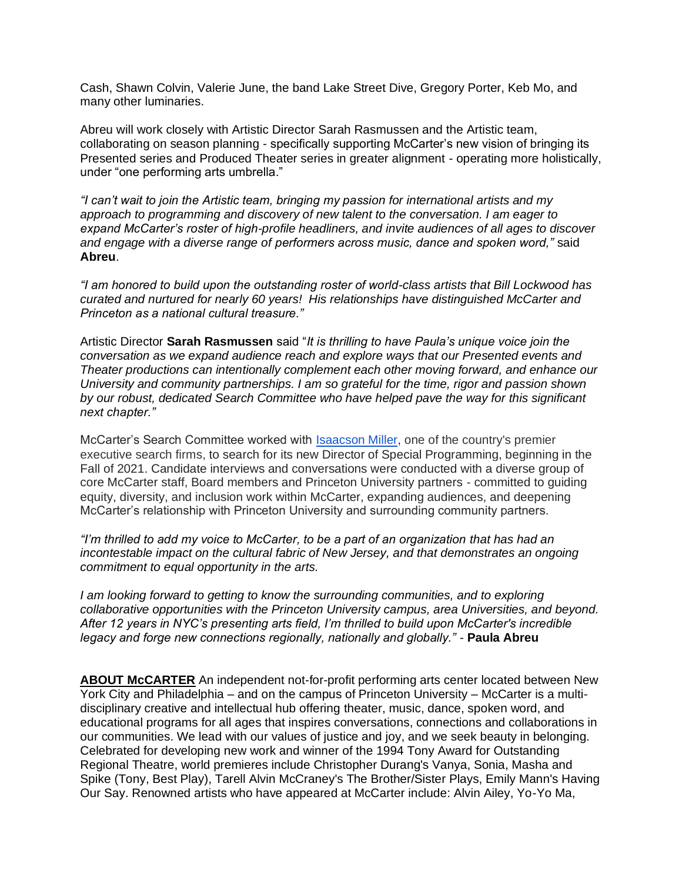Cash, Shawn Colvin, Valerie June, the band Lake Street Dive, Gregory Porter, Keb Mo, and many other luminaries.

Abreu will work closely with Artistic Director Sarah Rasmussen and the Artistic team, collaborating on season planning - specifically supporting McCarter's new vision of bringing its Presented series and Produced Theater series in greater alignment - operating more holistically, under "one performing arts umbrella."

*"I can't wait to join the Artistic team, bringing my passion for international artists and my approach to programming and discovery of new talent to the conversation. I am eager to expand McCarter's roster of high-profile headliners, and invite audiences of all ages to discover and engage with a diverse range of performers across music, dance and spoken word,"* said **Abreu**.

*"I am honored to build upon the outstanding roster of world-class artists that Bill Lockwood has curated and nurtured for nearly 60 years! His relationships have distinguished McCarter and Princeton as a national cultural treasure."*

Artistic Director **Sarah Rasmussen** said "*It is thrilling to have Paula's unique voice join the conversation as we expand audience reach and explore ways that our Presented events and Theater productions can intentionally complement each other moving forward, and enhance our University and community partnerships. I am so grateful for the time, rigor and passion shown by our robust, dedicated Search Committee who have helped pave the way for this significant next chapter."*

McCarter's Search Committee worked with [Isaacson Miller,](https://www.imsearch.com/) one of the country's premier executive search firms, to search for its new Director of Special Programming, beginning in the Fall of 2021. Candidate interviews and conversations were conducted with a diverse group of core McCarter staff, Board members and Princeton University partners - committed to guiding equity, diversity, and inclusion work within McCarter, expanding audiences, and deepening McCarter's relationship with Princeton University and surrounding community partners.

*"I'm thrilled to add my voice to McCarter, to be a part of an organization that has had an incontestable impact on the cultural fabric of New Jersey, and that demonstrates an ongoing commitment to equal opportunity in the arts.* 

*I* am looking forward to getting to know the surrounding communities, and to exploring *collaborative opportunities with the Princeton University campus, area Universities, and beyond. After 12 years in NYC's presenting arts field, I'm thrilled to build upon McCarter's incredible legacy and forge new connections regionally, nationally and globally."* - **Paula Abreu**

**ABOUT McCARTER** An independent not-for-profit performing arts center located between New York City and Philadelphia – and on the campus of Princeton University – McCarter is a multidisciplinary creative and intellectual hub offering theater, music, dance, spoken word, and educational programs for all ages that inspires conversations, connections and collaborations in our communities. We lead with our values of justice and joy, and we seek beauty in belonging. Celebrated for developing new work and winner of the 1994 Tony Award for Outstanding Regional Theatre, world premieres include Christopher Durang's Vanya, Sonia, Masha and Spike (Tony, Best Play), Tarell Alvin McCraney's The Brother/Sister Plays, Emily Mann's Having Our Say. Renowned artists who have appeared at McCarter include: Alvin Ailey, Yo-Yo Ma,